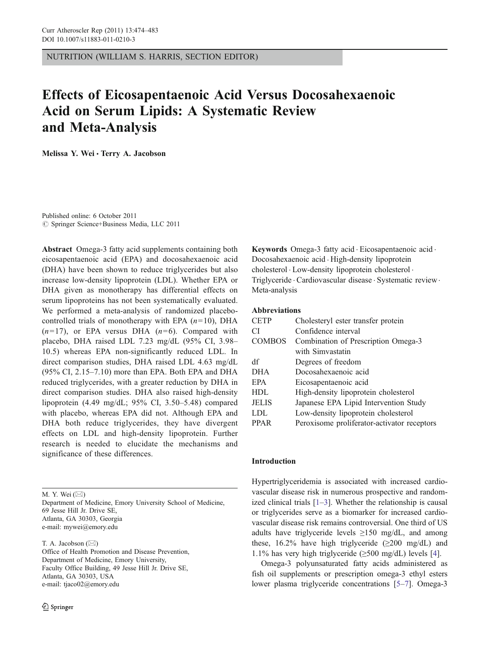NUTRITION (WILLIAM S. HARRIS, SECTION EDITOR)

# Effects of Eicosapentaenoic Acid Versus Docosahexaenoic Acid on Serum Lipids: A Systematic Review and Meta-Analysis

Melissa Y. Wei · Terry A. Jacobson

Published online: 6 October 2011  $\oslash$  Springer Science+Business Media, LLC 2011

Abstract Omega-3 fatty acid supplements containing both eicosapentaenoic acid (EPA) and docosahexaenoic acid (DHA) have been shown to reduce triglycerides but also increase low-density lipoprotein (LDL). Whether EPA or DHA given as monotherapy has differential effects on serum lipoproteins has not been systematically evaluated. We performed a meta-analysis of randomized placebocontrolled trials of monotherapy with EPA  $(n=10)$ , DHA  $(n=17)$ , or EPA versus DHA  $(n=6)$ . Compared with placebo, DHA raised LDL 7.23 mg/dL (95% CI, 3.98– 10.5) whereas EPA non-significantly reduced LDL. In direct comparison studies, DHA raised LDL 4.63 mg/dL (95% CI, 2.15–7.10) more than EPA. Both EPA and DHA reduced triglycerides, with a greater reduction by DHA in direct comparison studies. DHA also raised high-density lipoprotein (4.49 mg/dL; 95% CI, 3.50–5.48) compared with placebo, whereas EPA did not. Although EPA and DHA both reduce triglycerides, they have divergent effects on LDL and high-density lipoprotein. Further research is needed to elucidate the mechanisms and significance of these differences.

M. Y. Wei  $(\boxtimes)$ 

Department of Medicine, Emory University School of Medicine, 69 Jesse Hill Jr. Drive SE, Atlanta, GA 30303, Georgia e-mail: mywei@emory.edu

T. A. Jacobson  $(\boxtimes)$ Office of Health Promotion and Disease Prevention, Department of Medicine, Emory University, Faculty Office Building, 49 Jesse Hill Jr. Drive SE, Atlanta, GA 30303, USA e-mail: tjaco02@emory.edu

Keywords Omega-3 fatty acid . Eicosapentaenoic acid . Docosahexaenoic acid . High-density lipoprotein cholesterol . Low-density lipoprotein cholesterol . Triglyceride . Cardiovascular disease . Systematic review. Meta-analysis

# Abbreviations

| <b>CETP</b>   | Cholesteryl ester transfer protein          |
|---------------|---------------------------------------------|
| CI            | Confidence interval                         |
| <b>COMBOS</b> | Combination of Prescription Omega-3         |
|               | with Simvastatin                            |
| df            | Degrees of freedom                          |
| <b>DHA</b>    | Docosahexaenoic acid                        |
| EPA           | Eicosapentaenoic acid                       |
| <b>HDL</b>    | High-density lipoprotein cholesterol        |
| <b>JELIS</b>  | Japanese EPA Lipid Intervention Study       |
| <b>LDL</b>    | Low-density lipoprotein cholesterol         |
| <b>PPAR</b>   | Peroxisome proliferator-activator receptors |

# Introduction

Hypertriglyceridemia is associated with increased cardiovascular disease risk in numerous prospective and randomized clinical trials  $[1-3]$  $[1-3]$  $[1-3]$  $[1-3]$ . Whether the relationship is causal or triglycerides serve as a biomarker for increased cardiovascular disease risk remains controversial. One third of US adults have triglyceride levels  $\geq$ 150 mg/dL, and among these,  $16.2\%$  have high triglyceride ( $\geq 200$  mg/dL) and 1.1% has very high triglyceride (≥500 mg/dL) levels [\[4](#page-8-0)].

Omega-3 polyunsaturated fatty acids administered as fish oil supplements or prescription omega-3 ethyl esters lower plasma triglyceride concentrations [[5](#page-8-0)–[7\]](#page-8-0). Omega-3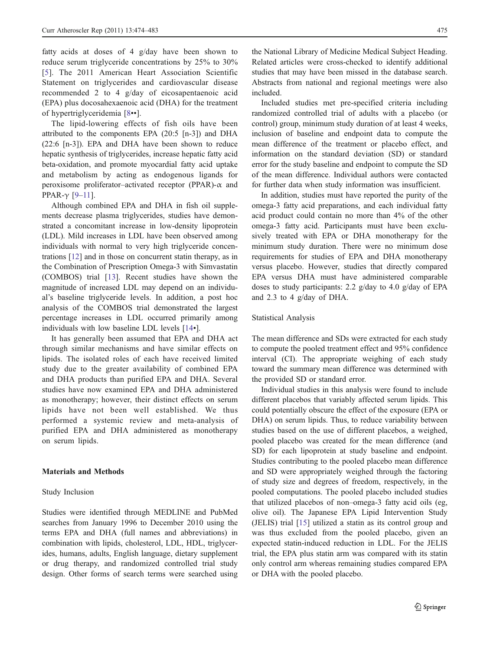fatty acids at doses of 4 g/day have been shown to reduce serum triglyceride concentrations by 25% to 30% [\[5\]](#page-8-0). The 2011 American Heart Association Scientific Statement on triglycerides and cardiovascular disease recommended 2 to 4 g/day of eicosapentaenoic acid (EPA) plus docosahexaenoic acid (DHA) for the treatment of hypertriglyceridemia [[8](#page-8-0)••].

The lipid-lowering effects of fish oils have been attributed to the components EPA (20:5 [n-3]) and DHA (22:6 [n-3]). EPA and DHA have been shown to reduce hepatic synthesis of triglycerides, increase hepatic fatty acid beta-oxidation, and promote myocardial fatty acid uptake and metabolism by acting as endogenous ligands for peroxisome proliferator–activated receptor (PPAR)- $\alpha$  and PPAR-γ [ $9-11$  $9-11$  $9-11$ ].

Although combined EPA and DHA in fish oil supplements decrease plasma triglycerides, studies have demonstrated a concomitant increase in low-density lipoprotein (LDL). Mild increases in LDL have been observed among individuals with normal to very high triglyceride concentrations [[12\]](#page-8-0) and in those on concurrent statin therapy, as in the Combination of Prescription Omega-3 with Simvastatin (COMBOS) trial [[13\]](#page-8-0). Recent studies have shown the magnitude of increased LDL may depend on an individual's baseline triglyceride levels. In addition, a post hoc analysis of the COMBOS trial demonstrated the largest percentage increases in LDL occurred primarily among individuals with low baseline LDL levels [[14](#page-8-0)•].

It has generally been assumed that EPA and DHA act through similar mechanisms and have similar effects on lipids. The isolated roles of each have received limited study due to the greater availability of combined EPA and DHA products than purified EPA and DHA. Several studies have now examined EPA and DHA administered as monotherapy; however, their distinct effects on serum lipids have not been well established. We thus performed a systemic review and meta-analysis of purified EPA and DHA administered as monotherapy on serum lipids.

# Materials and Methods

# Study Inclusion

Studies were identified through MEDLINE and PubMed searches from January 1996 to December 2010 using the terms EPA and DHA (full names and abbreviations) in combination with lipids, cholesterol, LDL, HDL, triglycerides, humans, adults, English language, dietary supplement or drug therapy, and randomized controlled trial study design. Other forms of search terms were searched using

the National Library of Medicine Medical Subject Heading. Related articles were cross-checked to identify additional studies that may have been missed in the database search. Abstracts from national and regional meetings were also included.

Included studies met pre-specified criteria including randomized controlled trial of adults with a placebo (or control) group, minimum study duration of at least 4 weeks, inclusion of baseline and endpoint data to compute the mean difference of the treatment or placebo effect, and information on the standard deviation (SD) or standard error for the study baseline and endpoint to compute the SD of the mean difference. Individual authors were contacted for further data when study information was insufficient.

In addition, studies must have reported the purity of the omega-3 fatty acid preparations, and each individual fatty acid product could contain no more than 4% of the other omega-3 fatty acid. Participants must have been exclusively treated with EPA or DHA monotherapy for the minimum study duration. There were no minimum dose requirements for studies of EPA and DHA monotherapy versus placebo. However, studies that directly compared EPA versus DHA must have administered comparable doses to study participants: 2.2 g/day to 4.0 g/day of EPA and 2.3 to 4 g/day of DHA.

#### Statistical Analysis

The mean difference and SDs were extracted for each study to compute the pooled treatment effect and 95% confidence interval (CI). The appropriate weighing of each study toward the summary mean difference was determined with the provided SD or standard error.

Individual studies in this analysis were found to include different placebos that variably affected serum lipids. This could potentially obscure the effect of the exposure (EPA or DHA) on serum lipids. Thus, to reduce variability between studies based on the use of different placebos, a weighed, pooled placebo was created for the mean difference (and SD) for each lipoprotein at study baseline and endpoint. Studies contributing to the pooled placebo mean difference and SD were appropriately weighed through the factoring of study size and degrees of freedom, respectively, in the pooled computations. The pooled placebo included studies that utilized placebos of non–omega-3 fatty acid oils (eg, olive oil). The Japanese EPA Lipid Intervention Study (JELIS) trial [[15](#page-9-0)] utilized a statin as its control group and was thus excluded from the pooled placebo, given an expected statin-induced reduction in LDL. For the JELIS trial, the EPA plus statin arm was compared with its statin only control arm whereas remaining studies compared EPA or DHA with the pooled placebo.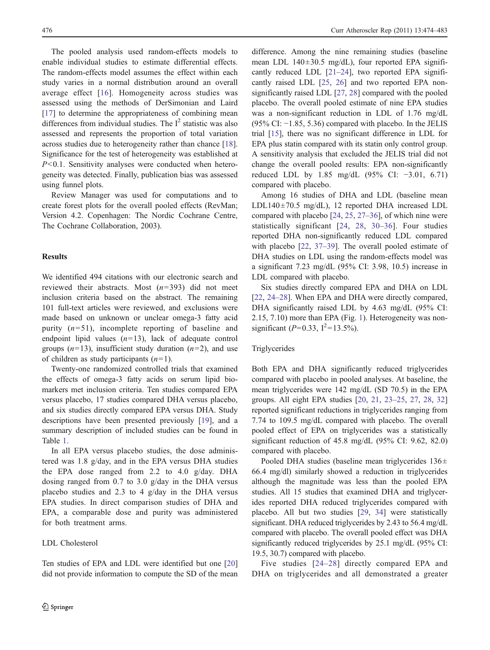The pooled analysis used random-effects models to enable individual studies to estimate differential effects. The random-effects model assumes the effect within each study varies in a normal distribution around an overall average effect [[16](#page-9-0)]. Homogeneity across studies was assessed using the methods of DerSimonian and Laird [\[17](#page-9-0)] to determine the appropriateness of combining mean differences from individual studies. The  $I^2$  statistic was also assessed and represents the proportion of total variation across studies due to heterogeneity rather than chance [\[18](#page-9-0)]. Significance for the test of heterogeneity was established at  $P<0.1$ . Sensitivity analyses were conducted when heterogeneity was detected. Finally, publication bias was assessed using funnel plots.

Review Manager was used for computations and to create forest plots for the overall pooled effects (RevMan; Version 4.2. Copenhagen: The Nordic Cochrane Centre, The Cochrane Collaboration, 2003).

# Results

We identified 494 citations with our electronic search and reviewed their abstracts. Most  $(n=393)$  did not meet inclusion criteria based on the abstract. The remaining 101 full-text articles were reviewed, and exclusions were made based on unknown or unclear omega-3 fatty acid purity  $(n=51)$ , incomplete reporting of baseline and endpoint lipid values  $(n=13)$ , lack of adequate control groups  $(n=13)$ , insufficient study duration  $(n=2)$ , and use of children as study participants  $(n=1)$ .

Twenty-one randomized controlled trials that examined the effects of omega-3 fatty acids on serum lipid biomarkers met inclusion criteria. Ten studies compared EPA versus placebo, 17 studies compared DHA versus placebo, and six studies directly compared EPA versus DHA. Study descriptions have been presented previously [[19](#page-9-0)], and a summary description of included studies can be found in Table [1](#page-3-0).

In all EPA versus placebo studies, the dose administered was 1.8 g/day, and in the EPA versus DHA studies the EPA dose ranged from 2.2 to 4.0 g/day. DHA dosing ranged from 0.7 to 3.0 g/day in the DHA versus placebo studies and 2.3 to 4 g/day in the DHA versus EPA studies. In direct comparison studies of DHA and EPA, a comparable dose and purity was administered for both treatment arms.

## LDL Cholesterol

Ten studies of EPA and LDL were identified but one [[20\]](#page-9-0) did not provide information to compute the SD of the mean difference. Among the nine remaining studies (baseline mean LDL  $140 \pm 30.5$  mg/dL), four reported EPA significantly reduced LDL [\[21](#page-9-0)–[24](#page-9-0)], two reported EPA significantly raised LDL [[25,](#page-9-0) [26](#page-9-0)] and two reported EPA nonsignificantly raised LDL [\[27](#page-9-0), [28\]](#page-9-0) compared with the pooled placebo. The overall pooled estimate of nine EPA studies was a non-significant reduction in LDL of 1.76 mg/dL  $(95\% \text{ CI: } -1.85, 5.36)$  compared with placebo. In the JELIS trial [\[15](#page-9-0)], there was no significant difference in LDL for EPA plus statin compared with its statin only control group. A sensitivity analysis that excluded the JELIS trial did not change the overall pooled results: EPA non-significantly reduced LDL by 1.85 mg/dL (95% CI: −3.01, 6.71) compared with placebo.

Among 16 studies of DHA and LDL (baseline mean LDL140±70.5 mg/dL), 12 reported DHA increased LDL compared with placebo [\[24](#page-9-0), [25,](#page-9-0) [27](#page-9-0)–[36\]](#page-9-0), of which nine were statistically significant [[24](#page-9-0), [28,](#page-9-0) [30](#page-9-0)–[36](#page-9-0)]. Four studies reported DHA non-significantly reduced LDL compared with placebo [[22,](#page-9-0) [37](#page-9-0)–[39](#page-9-0)]. The overall pooled estimate of DHA studies on LDL using the random-effects model was a significant 7.23 mg/dL (95% CI: 3.98, 10.5) increase in LDL compared with placebo.

Six studies directly compared EPA and DHA on LDL [\[22](#page-9-0), [24](#page-9-0)–[28\]](#page-9-0). When EPA and DHA were directly compared, DHA significantly raised LDL by 4.63 mg/dL (95% CI: 2.15, 7.10) more than EPA (Fig. [1](#page-6-0)). Heterogeneity was nonsignificant ( $P=0.33$ ,  $I^2=13.5\%$ ).

# Triglycerides

Both EPA and DHA significantly reduced triglycerides compared with placebo in pooled analyses. At baseline, the mean triglycerides were 142 mg/dL (SD 70.5) in the EPA groups. All eight EPA studies [\[20](#page-9-0), [21](#page-9-0), [23](#page-9-0)–[25](#page-9-0), [27,](#page-9-0) [28,](#page-9-0) [32](#page-9-0)] reported significant reductions in triglycerides ranging from 7.74 to 109.5 mg/dL compared with placebo. The overall pooled effect of EPA on triglycerides was a statistically significant reduction of 45.8 mg/dL (95% CI: 9.62, 82.0) compared with placebo.

Pooled DHA studies (baseline mean triglycerides 136± 66.4 mg/dl) similarly showed a reduction in triglycerides although the magnitude was less than the pooled EPA studies. All 15 studies that examined DHA and triglycerides reported DHA reduced triglycerides compared with placebo. All but two studies [\[29](#page-9-0), [34](#page-9-0)] were statistically significant. DHA reduced triglycerides by 2.43 to 56.4 mg/dL compared with placebo. The overall pooled effect was DHA significantly reduced triglycerides by 25.1 mg/dL (95% CI: 19.5, 30.7) compared with placebo.

Five studies [\[24](#page-9-0)–[28\]](#page-9-0) directly compared EPA and DHA on triglycerides and all demonstrated a greater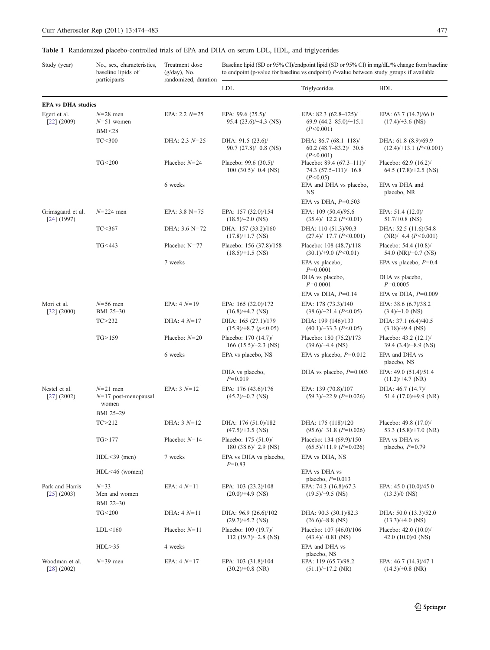<span id="page-3-0"></span>

| Curr Atheroscler Rep (2011) 13:474–483 |  |
|----------------------------------------|--|
|----------------------------------------|--|

| Study (year)                     | No., sex, characteristics,<br>baseline lipids of<br>participants | Treatment dose<br>$(g/day)$ , No.<br>randomized, duration | Baseline lipid (SD or 95% CI)/endpoint lipid (SD or 95% CI) in mg/dL/% change from baseline<br>to endpoint (p-value for baseline vs endpoint) P-value between study groups if available |                                                                     |                                                            |  |
|----------------------------------|------------------------------------------------------------------|-----------------------------------------------------------|-----------------------------------------------------------------------------------------------------------------------------------------------------------------------------------------|---------------------------------------------------------------------|------------------------------------------------------------|--|
|                                  |                                                                  |                                                           | LDL                                                                                                                                                                                     | Triglycerides                                                       | <b>HDL</b>                                                 |  |
| <b>EPA</b> vs DHA studies        |                                                                  |                                                           |                                                                                                                                                                                         |                                                                     |                                                            |  |
| Egert et al.<br>[22] (2009)      | $N=28$ men<br>$N=51$ women<br><b>BMI&lt;28</b>                   | EPA: $2.2 N=25$                                           | EPA: 99.6 (25.5)/<br>$95.4 (23.6)$ /-4.3 (NS)                                                                                                                                           | EPA: 82.3 (62.8-125)/<br>$69.9 (44.2 - 85.0) / -15.1$<br>(P<0.001)  | EPA: 63.7 (14.7)/66.0<br>$(17.4)/+3.6$ (NS)                |  |
|                                  | TC < 300                                                         | DHA: $2.3 N=25$                                           | DHA: $91.5(23.6)$<br>$90.7 (27.8)$ /-0.8 (NS)                                                                                                                                           | DHA: $86.7(68.1-118)$<br>$60.2 (48.7 - 83.2) / -30.6$<br>(P<0.001)  | DHA: 61.8 (8.9)/69.9<br>$(12.4)$ /+13.1 $(P<0.001)$        |  |
|                                  | TG<200                                                           | Placebo: $N=24$                                           | Placebo: 99.6 (30.5)/<br>$100(30.5)/+0.4$ (NS)                                                                                                                                          | Placebo: 89.4 $(67.3-111)$<br>74.3 $(57.5 - 111)/-16.8$<br>(P<0.05) | Placebo: 62.9 (16.2)/<br>64.5 $(17.8)/+2.5$ (NS)           |  |
|                                  |                                                                  | 6 weeks                                                   |                                                                                                                                                                                         | EPA and DHA vs placebo,<br><b>NS</b>                                | EPA vs DHA and<br>placebo, NR                              |  |
|                                  |                                                                  |                                                           |                                                                                                                                                                                         | EPA vs DHA, $P=0.503$                                               |                                                            |  |
| Grimsgaard et al.<br>[24] (1997) | $N=224$ men                                                      | EPA: $3.8 N = 75$                                         | EPA: 157 (32.0)/154<br>$(18.5)/-2.0$ (NS)                                                                                                                                               | EPA: 109 (50.4)/95.6<br>$(35.4)/-12.2$ $(P<0.01)$                   | EPA: $51.4(12.0)$<br>$51.7/10.8$ (NS)                      |  |
|                                  | TC < 367                                                         | DHA: $3.6 N=72$                                           | DHA: 157 (33.2)/160<br>$(17.8)$ /+1.7 (NS)                                                                                                                                              | DHA: 110 (51.3)/90.3<br>$(27.4)/-17.7$ $(P<0.001)$                  | DHA: 52.5 (11.6)/54.8<br>$(NR)/+4.4$ (P<0.001)             |  |
|                                  | TG < 443                                                         | Placebo: N=77                                             | Placebo: 156 (37.8)/158<br>$(18.5)/+1.5$ (NS)                                                                                                                                           | Placebo: 108 (48.7)/118<br>$(30.1)/+9.0$ $(P<0.01)$                 | Placebo: 54.4 (10.8)/<br>54.0 (NR)/ $-0.7$ (NS)            |  |
|                                  |                                                                  | 7 weeks                                                   |                                                                                                                                                                                         | EPA vs placebo,<br>$P=0.0001$                                       | EPA vs placebo, $P=0.4$                                    |  |
|                                  |                                                                  |                                                           |                                                                                                                                                                                         | DHA vs placebo,<br>$P=0.0001$                                       | DHA vs placebo,<br>$P=0.0005$                              |  |
|                                  |                                                                  |                                                           |                                                                                                                                                                                         | EPA vs DHA, $P=0.14$                                                | EPA vs DHA, $P=0.009$                                      |  |
| Mori et al.<br>[32] (2000)       | $N=56$ men<br>BMI 25-30                                          | EPA: $4 N=19$                                             | EPA: 165 (32.0)/172<br>$(16.8)/+4.2$ (NS)                                                                                                                                               | EPA: 178 (73.3)/140<br>$(38.6)/-21.4 (P<0.05)$                      | EPA: 38.6 (6.7)/38.2<br>$(3.4)/-1.0$ (NS)                  |  |
|                                  | TC > 232                                                         | DHA: $4 N=17$                                             | DHA: 165 (27.1)/179<br>$(15.9)$ /+8.7 (p<0.05)                                                                                                                                          | DHA: 199 (146)/133<br>$(40.1)/-33.3$ $(P<0.05)$                     | DHA: 37.1 (6.4)/40.5<br>$(3.18)/+9.4$ (NS)                 |  |
|                                  | TG > 159                                                         | Placebo: $N=20$                                           | Placebo: 170 (14.7)/<br>$166 (15.5) / -2.3 (NS)$                                                                                                                                        | Placebo: 180 (75.2)/173<br>$(39.6)/-4.4$ (NS)                       | Placebo: $43.2$ $(12.1)$ /<br>$39.4 \ (3.4) / -8.9 \ (NS)$ |  |
|                                  |                                                                  | 6 weeks                                                   | EPA vs placebo, NS                                                                                                                                                                      | EPA vs placebo, $P=0.012$                                           | EPA and DHA vs<br>placebo, NS                              |  |
|                                  |                                                                  |                                                           | DHA vs placebo,<br>$P=0.019$                                                                                                                                                            | DHA vs placebo, $P=0.003$                                           | EPA: 49.0 (51.4)/51.4<br>$(11.2)/+4.7$ (NR)                |  |
| Nestel et al.<br>$[27]$ (2002)   | $N=21$ men<br>$N=17$ post-menopausal<br>women                    | EPA: $3 N=12$                                             | EPA: 176 (43.6)/176<br>$(45.2)/-0.2$ (NS)                                                                                                                                               | EPA: 139 (70.8)/107<br>$(59.3)/-22.9$ $(P=0.026)$                   | DHA: 46.7 (14.7)/<br>$51.4$ (17.0)/+9.9 (NR)               |  |
|                                  | BMI 25-29                                                        |                                                           |                                                                                                                                                                                         |                                                                     |                                                            |  |
|                                  | TC > 212                                                         | DHA: $3 N=12$                                             | DHA: 176 (51.0)/182<br>$(47.5)/+3.5$ (NS)                                                                                                                                               | DHA: 175 (118)/120<br>$(95.6)/-31.8$ $(P=0.026)$                    | Placebo: 49.8 (17.0)/<br>53.3 $(15.8)$ /+7.0 (NR)          |  |
|                                  | TG>177                                                           | Placebo: $N=14$                                           | Placebo: 175 (51.0)/<br>$180 (38.6)$ /+2.9 (NS)                                                                                                                                         | Placebo: 134 (69.9)/150<br>$(65.5)/+11.9$ $(P=0.026)$               | EPA vs DHA vs<br>placebo, $P=0.79$                         |  |
|                                  | $HDL < 39$ (men)                                                 | 7 weeks                                                   | EPA vs DHA vs placebo,<br>$P=0.83$                                                                                                                                                      | EPA vs DHA, NS                                                      |                                                            |  |
|                                  | $HDL < 46$ (women)                                               |                                                           |                                                                                                                                                                                         | EPA vs DHA vs<br>placebo, $P=0.013$                                 |                                                            |  |
| Park and Harris<br>$[25]$ (2003) | $N = 33$<br>Men and women<br>BMI 22-30                           | EPA: $4 N=11$                                             | EPA: 103 (23.2)/108<br>$(20.0)/+4.9$ (NS)                                                                                                                                               | EPA: 74.3 (16.8)/67.3<br>$(19.5)/-9.5$ (NS)                         | EPA: 45.0 (10.0)/45.0<br>$(13.3)/0$ (NS)                   |  |
|                                  | TG<200                                                           | DHA: $4 N=11$                                             | DHA: 96.9 (26.6)/102<br>$(29.7)$ /+5.2 (NS)                                                                                                                                             | DHA: 90.3 (30.1)/82.3<br>$(26.6)/-8.8$ (NS)                         | DHA: 50.0 (13.3)/52.0<br>$(13.3)/+4.0$ (NS)                |  |
|                                  | LDL < 160                                                        | Placebo: $N=11$                                           | Placebo: 109 (19.7)/<br>112 $(19.7)$ /+2.8 (NS)                                                                                                                                         | Placebo: 107 (46.0)/106<br>$(43.4)/-0.81$ (NS)                      | Placebo: $42.0$ $(10.0)$ /<br>42.0 $(10.0)/0$ (NS)         |  |
|                                  | HDL > 35                                                         | 4 weeks                                                   |                                                                                                                                                                                         | EPA and DHA vs                                                      |                                                            |  |
| Woodman et al.<br>$[28]$ (2002)  | $N=39$ men                                                       | EPA: $4 N=17$                                             | EPA: 103 (31.8)/104<br>$(30.2)/+0.8$ (NR)                                                                                                                                               | placebo, NS<br>EPA: 119 (65.7)/98.2<br>$(51.1)$ /-17.2 (NR)         | EPA: 46.7 (14.3)/47.1<br>$(14.3)/+0.8$ (NR)                |  |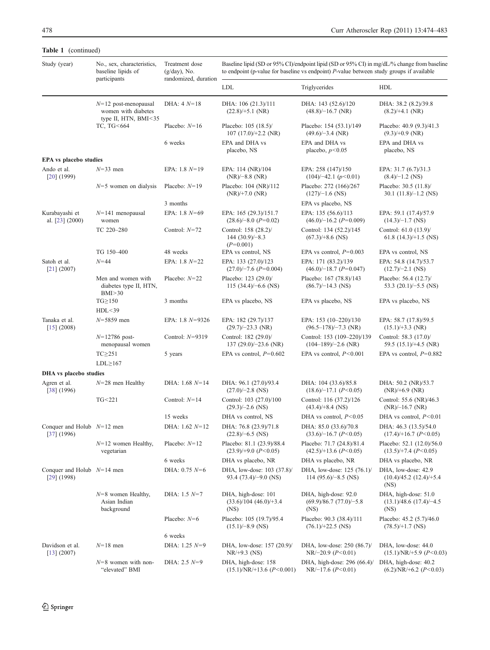# Table 1 (continued)

| Study (year)                                  | No., sex, characteristics,<br>baseline lipids of<br>participants      | Treatment dose<br>$(g/day)$ , No.<br>randomized, duration | Baseline lipid (SD or 95% CI)/endpoint lipid (SD or 95% CI) in mg/dL/% change from baseline<br>to endpoint (p-value for baseline vs endpoint) P-value between study groups if available |                                                           |                                                             |  |
|-----------------------------------------------|-----------------------------------------------------------------------|-----------------------------------------------------------|-----------------------------------------------------------------------------------------------------------------------------------------------------------------------------------------|-----------------------------------------------------------|-------------------------------------------------------------|--|
|                                               |                                                                       |                                                           | <b>LDL</b>                                                                                                                                                                              | Triglycerides                                             | HDL                                                         |  |
|                                               | $N=12$ post-menopausal<br>women with diabetes<br>type II, HTN, BMI<35 | DHA: $4 N=18$                                             | DHA: 106 (21.3)/111<br>$(22.8)/+5.1$ (NR)                                                                                                                                               | DHA: 143 (52.6)/120<br>$(48.8)/-16.7$ (NR)                | DHA: 38.2 (8.2)/39.8<br>$(8.2)/+4.1$ (NR)                   |  |
|                                               | TC, TG<664                                                            | Placebo: $N=16$                                           | Placebo: 105 (18.5)/<br>$107 (17.0)$ /+2.2 (NR)                                                                                                                                         | Placebo: 154 (53.1)/149<br>$(49.6)/-3.4$ (NR)             | Placebo: 40.9 (9.3)/41.3<br>$(9.3)/+0.9$ (NR)               |  |
|                                               |                                                                       | 6 weeks                                                   | EPA and DHA vs<br>placebo, NS                                                                                                                                                           | EPA and DHA vs<br>placebo, $p<0.05$                       | EPA and DHA vs<br>placebo, NS                               |  |
| <b>EPA</b> vs placebo studies                 |                                                                       |                                                           |                                                                                                                                                                                         |                                                           |                                                             |  |
| Ando et al.<br>$[20]$ (1999)                  | $N=33$ men                                                            | EPA: $1.8 N=19$                                           | EPA: 114 (NR)/104<br>$(NR)/-8.8$ (NR)                                                                                                                                                   | EPA: 258 (147)/150<br>$(104)/-42.1$ $(p<0.01)$            | EPA: 31.7 (6.7)/31.3<br>$(8.4)/-1.2$ (NS)                   |  |
|                                               | $N=5$ women on dialysis                                               | Placebo: $N=19$                                           | Placebo: 104 (NR)/112<br>$(NR)/+7.0$ (NR)                                                                                                                                               | Placebo: 272 (166)/267<br>$(127)$ /-1.6 (NS)              | Placebo: 30.5 (11.8)/<br>30.1 $(11.8)$ /-1.2 (NS)           |  |
|                                               |                                                                       | 3 months                                                  |                                                                                                                                                                                         | EPA vs placebo, NS                                        |                                                             |  |
| Kurabayashi et<br>al. [23] (2000)             | $N=141$ menopausal<br>women                                           | EPA: $1.8 N=69$                                           | EPA: 165 (29.3)/151.7<br>$(28.6)/-8.0$ $(P=0.02)$                                                                                                                                       | EPA: 135 (56.6)/113<br>$(46.0)$ /-16.2 (P=0.009)          | EPA: 59.1 (17.4)/57.9<br>$(14.3)/-1.7$ (NS)                 |  |
|                                               | TC 220-280                                                            | Control: $N=72$                                           | Control: 158 (28.2)/<br>$144(30.9)/-8.3$<br>$(P=0.001)$                                                                                                                                 | Control: 134 (52.2)/145<br>$(67.3)/+8.6$ (NS)             | Control: 61.0 (13.9)/<br>61.8 $(14.3)/+1.5$ (NS)            |  |
|                                               | TG 150-400                                                            | 48 weeks                                                  | EPA vs control, NS                                                                                                                                                                      | EPA vs control, $P=0.003$                                 | EPA vs control, NS                                          |  |
| Satoh et al.<br>$[21]$ (2007)                 | $N = 44$                                                              | EPA: $1.8 N=22$                                           | EPA: 133 (27.0)/123<br>$(27.0)$ /-7.6 (P=0.004)                                                                                                                                         | EPA: 171 (83.2)/139<br>$(46.0)$ /-18.7 (P=0.047)          | EPA: 54.8 (14.7)/53.7<br>$(12.7)/-2.1$ (NS)                 |  |
|                                               | Men and women with<br>diabetes type II, HTN,<br>BMI > 30              | Placebo: $N=22$                                           | Placebo: 123 (29.0)/<br>115 $(34.4)/-6.6$ (NS)                                                                                                                                          | Placebo: 167 (78.8)/143<br>$(86.7)/-14.3$ (NS)            | Placebo: 56.4 (12.7)/<br>53.3 $(20.1)/-5.5$ (NS)            |  |
|                                               | $TG \geq 150$<br>HDL <sub>39</sub>                                    | 3 months                                                  | EPA vs placebo, NS                                                                                                                                                                      | EPA vs placebo, NS                                        | EPA vs placebo, NS                                          |  |
| Tanaka et al.<br>[15] (2008)                  | $N = 5859$ men                                                        | EPA: 1.8 N=9326                                           | EPA: 182 (29.7)/137<br>$(29.7)/-23.3$ (NR)                                                                                                                                              | EPA: 153 (10-220)/130<br>$(96.5-178)/-7.3$ (NR)           | EPA: 58.7 (17.8)/59.5<br>$(15.1)/+3.3$ (NR)                 |  |
|                                               | $N=12786$ post-<br>menopausal women                                   | Control: $N=9319$                                         | Control: 182 (29.0)/<br>137 $(29.0)$ /-23.6 (NR)                                                                                                                                        | Control: 153 (109-220)/139<br>$(104-189)/-2.6$ (NR)       | Control: 58.3 (17.0)/<br>59.5 $(15.1)/+4.5$ (NR)            |  |
|                                               | $TC \geq 251$<br>$LDL \ge 167$                                        | 5 years                                                   | EPA vs control, $P=0.602$                                                                                                                                                               | EPA vs control, $P < 0.001$                               | EPA vs control, $P=0.882$                                   |  |
| DHA vs placebo studies                        |                                                                       |                                                           |                                                                                                                                                                                         |                                                           |                                                             |  |
| Agren et al.<br>$[38]$ (1996)                 | $N=28$ men Healthy                                                    | DHA: $1.68 N=14$                                          | DHA: 96.1 (27.0)/93.4<br>$(27.0)/-2.8$ (NS)                                                                                                                                             | DHA: 104 (33.6)/85.8<br>$(18.6)/-17.1$ $(P<0.05)$         | DHA: 50.2 (NR)/53.7<br>$(NR)/+6.9$ (NR)                     |  |
|                                               | TG<221                                                                | Control: $N=14$                                           | Control: 103 (27.0)/100<br>$(29.3)/-2.6$ (NS)                                                                                                                                           | Control: 116 (37.2)/126<br>$(43.4)/+8.4$ (NS)             | Control: 55.6 (NR)/46.3<br>$(NR)$ /-16.7 (NR)               |  |
|                                               |                                                                       | 15 weeks                                                  | DHA vs control, NS                                                                                                                                                                      | DHA vs control, $P<0.05$                                  | DHA vs control, $P<0.01$                                    |  |
| Conquer and Holub $N=12$ men<br>[37] (1996)   |                                                                       | DHA: $1.62 N=12$                                          | DHA: 76.8 (23.9)/71.8<br>$(22.8)/-6.5$ (NS)                                                                                                                                             | DHA: 85.0 (33.6)/70.8<br>$(33.6)/-16.7$ $(P<0.05)$        | DHA: 46.3 (13.5)/54.0<br>$(17.4)$ /+16.7 (P<0.05)           |  |
|                                               | $N=12$ women Healthy,<br>vegetarian                                   | Placebo: $N=12$                                           | Placebo: 81.1 (23.9)/88.4<br>$(23.9)/+9.0$ $(P<0.05)$                                                                                                                                   | Placebo: 71.7 (24.8)/81.4<br>$(42.5)/+13.6$ $(P<0.05)$    | Placebo: 52.1 (12.0)/56.0<br>$(13.5)/+7.4$ $(P<0.05)$       |  |
|                                               |                                                                       | 6 weeks                                                   | DHA vs placebo, NR                                                                                                                                                                      | DHA vs placebo, NR                                        | DHA vs placebo, NR                                          |  |
| Conquer and Holub $N=14$ men<br>$[29]$ (1998) |                                                                       | DHA: $0.75 N=6$                                           | DHA, low-dose: 103 (37.8)/<br>93.4 $(73.4)/-9.0$ (NS)                                                                                                                                   | DHA, low-dose: 125 (76.1)/<br>114 $(95.6)/-8.5$ (NS)      | DHA, low-dose: 42.9<br>$(10.4)/45.2$ $(12.4)/+5.4$<br>(NS)  |  |
|                                               | $N=8$ women Healthy,<br>Asian Indian<br>background                    | DHA: $1.5 N=7$                                            | DHA, high-dose: 101<br>$(33.6)/104$ $(46.0)/+3.4$<br>(NS)                                                                                                                               | DHA, high-dose: 92.0<br>$(69.9)/86.7 (77.0)/-5.8$<br>(NS) | DHA, high-dose: 51.0<br>$(13.1)/48.6$ $(17.4)/-4.5$<br>(NS) |  |
|                                               |                                                                       | Placebo: $N=6$                                            | Placebo: 105 (19.7)/95.4<br>$(15.1)/-8.9$ (NS)                                                                                                                                          | Placebo: 90.3 (38.4)/111<br>$(76.1)/+22.5$ (NS)           | Placebo: 45.2 (5.7)/46.0<br>$(78.5)/+1.7$ (NS)              |  |
|                                               |                                                                       | 6 weeks                                                   |                                                                                                                                                                                         |                                                           |                                                             |  |
| Davidson et al.<br>[13] (2007)                | $N=18$ men                                                            | DHA: 1.25 N=9                                             | DHA, low-dose: 157 (20.9)/<br>$NR/ +9.3$ (NS)                                                                                                                                           | DHA, low-dose: 250 (86.7)/<br>$NR/-20.9$ ( $P<0.01$ )     | DHA, low-dose: 44.0<br>$(15.1)/NR$ /+5.9 $(P<0.03)$         |  |
|                                               | $N=8$ women with non-<br>"elevated" BMI                               | DHA: $2.5 N=9$                                            | DHA, high-dose: 158<br>$(15.1)/NR$ /+13.6 $(P<0.001)$                                                                                                                                   | DHA, high-dose: 296 (66.4)/<br>$NR/-17.6$ ( $P<0.01$ )    | DHA, high-dose: 40.2<br>$(6.2)/NR/+6.2$ $(P<0.03)$          |  |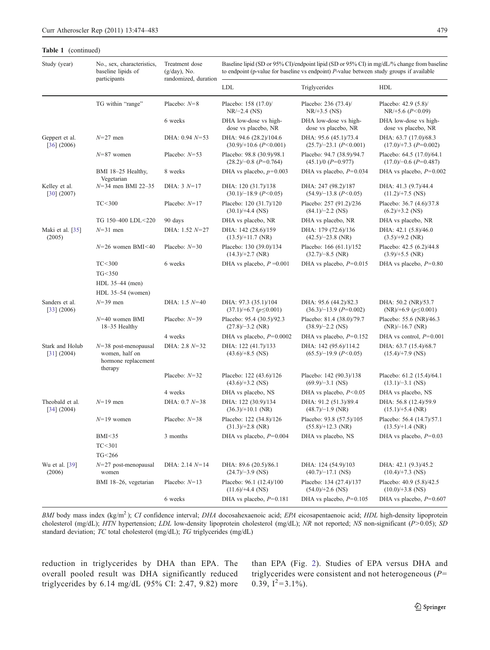#### Table 1 (continued)

| Study (year)                   | No., sex, characteristics,<br>baseline lipids of<br>participants           | Treatment dose<br>$(g/day)$ , No.<br>randomized, duration | Baseline lipid (SD or 95% CI)/endpoint lipid (SD or 95% CI) in mg/dL/% change from baseline<br>to endpoint (p-value for baseline vs endpoint) P-value between study groups if available |                                                     |                                                        |
|--------------------------------|----------------------------------------------------------------------------|-----------------------------------------------------------|-----------------------------------------------------------------------------------------------------------------------------------------------------------------------------------------|-----------------------------------------------------|--------------------------------------------------------|
|                                |                                                                            |                                                           | <b>LDL</b>                                                                                                                                                                              | Triglycerides                                       | HDL                                                    |
|                                | TG within "range"                                                          | Placebo: $N=8$                                            | Placebo: 158 (17.0)/<br>$NR/-2.4$ (NS)                                                                                                                                                  | Placebo: 236 (73.4)/<br>$NR/ +3.5$ (NS)             | Placebo: 42.9 (5.8)/<br>$NR/+5.6 (P<0.09)$             |
|                                |                                                                            | 6 weeks                                                   | DHA low-dose vs high-<br>dose vs placebo, NR                                                                                                                                            | DHA low-dose vs high-<br>dose vs placebo, NR        | DHA low-dose vs high-<br>dose vs placebo, NR           |
| Geppert et al.<br>[36] (2006)  | $N=27$ men                                                                 | DHA: $0.94 N = 53$                                        | DHA: 94.6 (28.2)/104.6<br>$(30.9)/+10.6$ $(P<0.001)$                                                                                                                                    | DHA: 95.6 (45.1)/73.4<br>$(25.7)/-23.1$ $(P<0.001)$ | DHA: 63.7 (17.0)/68.3<br>$(17.0)$ /+7.3 $(P=0.002)$    |
|                                | $N=87$ women                                                               | Placebo: $N=53$                                           | Placebo: 98.8 (30.9)/98.1<br>$(28.2)/-0.8$ $(P=0.764)$                                                                                                                                  | Placebo: 94.7 (38.9)/94.7<br>$(45.1)/0$ $(P=0.977)$ | Placebo: 64.5 (17.0)/64.1<br>$(17.0)/-0.6$ $(P=0.487)$ |
|                                | BMI 18-25 Healthy,<br>Vegetarian                                           | 8 weeks                                                   | DHA vs placebo, $p=0.003$                                                                                                                                                               | DHA vs placebo, $P=0.034$                           | DHA vs placebo, $P=0.002$                              |
| Kelley et al.<br>$[30]$ (2007) | $N=34$ men BMI 22-35                                                       | DHA: $3 N=17$                                             | DHA: 120 (31.7)/138<br>$(30.1)$ /-18.9 (P<0.05)                                                                                                                                         | DHA: 247 (98.2)/187<br>$(54.9)/-13.8$ $(P<0.05)$    | DHA: 41.3 (9.7)/44.4<br>$(11.2)/+7.5$ (NS)             |
|                                | TC < 300                                                                   | Placebo: $N=17$                                           | Placebo: 120 (31.7)/120<br>$(30.1)/+4.4$ (NS)                                                                                                                                           | Placebo: 257 (91.2)/236<br>$(84.1)/-2.2$ (NS)       | Placebo: 36.7 (4.6)/37.8<br>$(6.2)/+3.2$ (NS)          |
|                                | TG 150-400 LDL<220                                                         | 90 days                                                   | DHA vs placebo, NR                                                                                                                                                                      | DHA vs placebo, NR                                  | DHA vs placebo, NR                                     |
| Maki et al. [35]<br>(2005)     | $N=31$ men                                                                 | DHA: $1.52 N=27$                                          | DHA: 142 (28.6)/159<br>$(13.5)/+11.7$ (NR)                                                                                                                                              | DHA: 179 (72.6)/136<br>$(42.5)/-23.8$ (NR)          | DHA: 42.1 (5.8)/46.0<br>$(3.5)/+9.2$ (NR)              |
|                                | $N=26$ women BMI<40                                                        | Placebo: $N=30$                                           | Placebo: 130 (39.0)/134<br>$(14.3)/+2.7$ (NR)                                                                                                                                           | Placebo: 166 (61.1)/152<br>$(32.7)/-8.5$ (NR)       | Placebo: 42.5 (6.2)/44.8<br>$(3.9)/+5.5$ (NR)          |
|                                | TC < 300                                                                   | 6 weeks                                                   | DHA vs placebo, $P = 0.001$                                                                                                                                                             | DHA vs placebo, $P=0.015$                           | DHA vs placebo, $P=0.80$                               |
|                                | TG < 350                                                                   |                                                           |                                                                                                                                                                                         |                                                     |                                                        |
|                                | HDL $35-44$ (men)                                                          |                                                           |                                                                                                                                                                                         |                                                     |                                                        |
|                                | $HDL$ 35-54 (women)                                                        |                                                           |                                                                                                                                                                                         |                                                     |                                                        |
| Sanders et al.<br>[33] (2006)  | $N=39$ men                                                                 | DHA: $1.5 N=40$                                           | DHA: 97.3 (35.1)/104<br>$(37.1)/+6.7$ $(p \le 0.001)$                                                                                                                                   | DHA: 95.6 (44.2)/82.3<br>$(36.3)/-13.9$ $(P=0.002)$ | DHA: 50.2 (NR)/53.7<br>$(NR)/+6.9$ ( $p \le 0.001$ )   |
|                                | $N=40$ women BMI<br>18–35 Healthy                                          | Placebo: $N=39$                                           | Placebo: 95.4 (30.5)/92.3<br>$(27.8)/-3.2$ (NR)                                                                                                                                         | Placebo: 81.4 (38.0)/79.7<br>$(38.9)/-2.2$ (NS)     | Placebo: 55.6 (NR)/46.3<br>$(NR)$ /-16.7 (NR)          |
|                                |                                                                            | 4 weeks                                                   | DHA vs placebo, $P=0.0002$                                                                                                                                                              | DHA vs placebo, $P=0.152$                           | DHA vs control, $P=0.001$                              |
| Stark and Holub<br>[31] (2004) | $N=38$ post-menopausal<br>women, half on<br>hormone replacement<br>therapy | DHA: $2.8 N=32$                                           | DHA: 122 (41.7)/133<br>$(43.6)/+8.5$ (NS)                                                                                                                                               | DHA: 142 (95.6)/114.2<br>$(65.5)/-19.9$ $(P<0.05)$  | DHA: 63.7 (15.4)/68.7<br>$(15.4)/+7.9$ (NS)            |
|                                |                                                                            | Placebo: $N=32$                                           | Placebo: 122 (43.6)/126<br>$(43.6)/+3.2$ (NS)                                                                                                                                           | Placebo: 142 (90.3)/138<br>$(69.9)/-3.1$ (NS)       | Placebo: 61.2 (15.4)/64.1<br>$(13.1)$ /-3.1 (NS)       |
|                                |                                                                            | 4 weeks                                                   | DHA vs placebo, NS                                                                                                                                                                      | DHA vs placebo, $P < 0.05$                          | DHA vs placebo, NS                                     |
| Theobald et al.<br>[34] (2004) | $N=19$ men                                                                 | DHA: $0.7 N = 38$                                         | DHA: 122 (30.9)/134<br>$(36.3)/+10.1$ (NR)                                                                                                                                              | DHA: 91.2 (51.3)/89.4<br>$(48.7)/-1.9$ (NR)         | DHA: 56.8 (12.4)/59.9<br>$(15.1)$ /+5.4 (NR)           |
|                                | $N=19$ women                                                               | Placebo: $N=38$                                           | Placebo: 122 (34.8)/126<br>$(31.3)/+2.8$ (NR)                                                                                                                                           | Placebo: 93.8 (57.5)/105<br>$(55.8)/+12.3$ (NR)     | Placebo: 56.4 (14.7)/57.1<br>$(13.5)/+1.4$ (NR)        |
|                                | BMI < 35<br>TC < 301<br>TG<266                                             | 3 months                                                  | DHA vs placebo, P=0.004                                                                                                                                                                 | DHA vs placebo, NS                                  | DHA vs placebo, $P=0.03$                               |
| Wu et al. [39]<br>(2006)       | $N=27$ post-menopausal<br>women                                            | DHA: $2.14 N=14$                                          | DHA: 89.6 (20.5)/86.1<br>$(24.7)$ /-3.9 (NS)                                                                                                                                            | DHA: 124 (54.9)/103<br>$(40.7)/-17.1$ (NS)          | DHA: 42.1 (9.3)/45.2<br>$(10.4)/+7.3$ (NS)             |
|                                | BMI 18-26, vegetarian                                                      | Placebo: $N=13$                                           | Placebo: 96.1 (12.4)/100<br>$(11.6)$ /+4.4 (NS)                                                                                                                                         | Placebo: 134 (27.4)/137<br>$(54.0)/+2.6$ (NS)       | Placebo: 40.9 (5.8)/42.5<br>$(10.0)/+3.8$ (NS)         |
|                                |                                                                            | 6 weeks                                                   | DHA vs placebo, $P=0.181$                                                                                                                                                               | DHA vs placebo, $P=0.105$                           | DHA vs placebo, $P=0.607$                              |

BMI body mass index  $(kg/m^2)$ ; CI confidence interval; DHA docosahexaenoic acid; EPA eicosapentaenoic acid; HDL high-density lipoprotein cholesterol (mg/dL); HTN hypertension; LDL low-density lipoprotein cholesterol (mg/dL); NR not reported; NS non-significant (P>0.05); SD standard deviation; TC total cholesterol (mg/dL); TG triglycerides (mg/dL)

reduction in triglycerides by DHA than EPA. The overall pooled result was DHA significantly reduced triglycerides by 6.14 mg/dL (95% CI: 2.47, 9.82) more than EPA (Fig. [2](#page-6-0)). Studies of EPA versus DHA and triglycerides were consistent and not heterogeneous  $(P=$ 0.39,  $I^2 = 3.1\%$ ).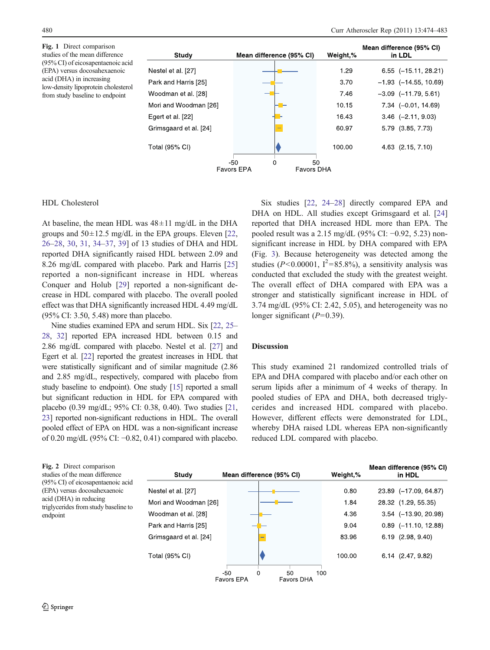<span id="page-6-0"></span>Fig. 1 Direct comparison studies of the mean difference (95% CI) of eicosapentaenoic acid (EPA) versus docosahexaenoic acid (DHA) in increasing low-density lipoprotein cholesterol from study baseline to endpoint



## HDL Cholesterol

At baseline, the mean HDL was  $48\pm11$  mg/dL in the DHA groups and  $50 \pm 12.5$  mg/dL in the EPA groups. Eleven [[22,](#page-9-0) [26](#page-9-0)–[28,](#page-9-0) [30,](#page-9-0) [31](#page-9-0), [34](#page-9-0)–[37,](#page-9-0) [39\]](#page-9-0) of 13 studies of DHA and HDL reported DHA significantly raised HDL between 2.09 and 8.26 mg/dL compared with placebo. Park and Harris [[25\]](#page-9-0) reported a non-significant increase in HDL whereas Conquer and Holub [\[29](#page-9-0)] reported a non-significant decrease in HDL compared with placebo. The overall pooled effect was that DHA significantly increased HDL 4.49 mg/dL (95% CI: 3.50, 5.48) more than placebo.

Nine studies examined EPA and serum HDL. Six [\[22,](#page-9-0) [25](#page-9-0)– [28,](#page-9-0) [32](#page-9-0)] reported EPA increased HDL between 0.15 and 2.86 mg/dL compared with placebo. Nestel et al. [\[27\]](#page-9-0) and Egert et al. [[22](#page-9-0)] reported the greatest increases in HDL that were statistically significant and of similar magnitude (2.86 and 2.85 mg/dL, respectively, compared with placebo from study baseline to endpoint). One study [[15](#page-9-0)] reported a small but significant reduction in HDL for EPA compared with placebo (0.39 mg/dL; 95% CI: 0.38, 0.40). Two studies [\[21,](#page-9-0) [23\]](#page-9-0) reported non-significant reductions in HDL. The overall pooled effect of EPA on HDL was a non-significant increase of 0.20 mg/dL (95% CI: −0.82, 0.41) compared with placebo.

Six studies [\[22](#page-9-0), [24](#page-9-0)–[28](#page-9-0)] directly compared EPA and DHA on HDL. All studies except Grimsgaard et al. [\[24](#page-9-0)] reported that DHA increased HDL more than EPA. The pooled result was a 2.15 mg/dL (95% CI: −0.92, 5.23) nonsignificant increase in HDL by DHA compared with EPA (Fig. [3\)](#page-7-0). Because heterogeneity was detected among the studies ( $P < 0.00001$ ,  $I^2 = 85.8\%$ ), a sensitivity analysis was conducted that excluded the study with the greatest weight. The overall effect of DHA compared with EPA was a stronger and statistically significant increase in HDL of 3.74 mg/dL (95% CI: 2.42, 5.05), and heterogeneity was no longer significant  $(P=0.39)$ .

## Discussion

This study examined 21 randomized controlled trials of EPA and DHA compared with placebo and/or each other on serum lipids after a minimum of 4 weeks of therapy. In pooled studies of EPA and DHA, both decreased triglycerides and increased HDL compared with placebo. However, different effects were demonstrated for LDL, whereby DHA raised LDL whereas EPA non-significantly reduced LDL compared with placebo.

Fig. 2 Direct comparison studies of the mean difference (95% CI) of eicosapentaenoic acid (EPA) versus docosahexaenoic acid (DHA) in reducing triglycerides from study baseline to endpoint

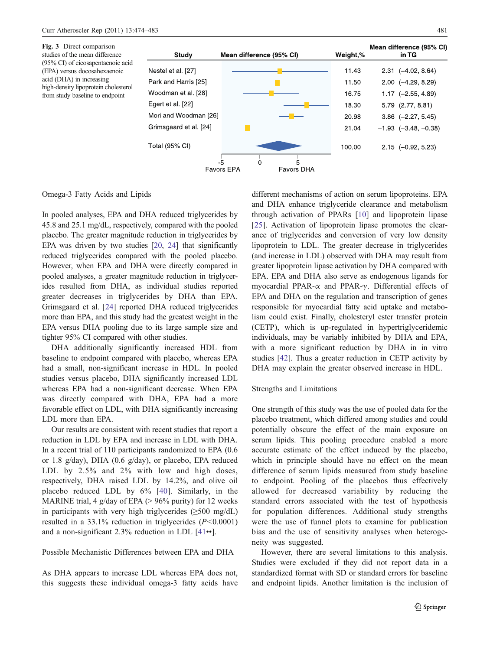<span id="page-7-0"></span>

Omega-3 Fatty Acids and Lipids

In pooled analyses, EPA and DHA reduced triglycerides by 45.8 and 25.1 mg/dL, respectively, compared with the pooled placebo. The greater magnitude reduction in triglycerides by EPA was driven by two studies [\[20,](#page-9-0) [24\]](#page-9-0) that significantly reduced triglycerides compared with the pooled placebo. However, when EPA and DHA were directly compared in pooled analyses, a greater magnitude reduction in triglycerides resulted from DHA, as individual studies reported greater decreases in triglycerides by DHA than EPA. Grimsgaard et al. [\[24\]](#page-9-0) reported DHA reduced triglycerides more than EPA, and this study had the greatest weight in the EPA versus DHA pooling due to its large sample size and tighter 95% CI compared with other studies.

DHA additionally significantly increased HDL from baseline to endpoint compared with placebo, whereas EPA had a small, non-significant increase in HDL. In pooled studies versus placebo, DHA significantly increased LDL whereas EPA had a non-significant decrease. When EPA was directly compared with DHA, EPA had a more favorable effect on LDL, with DHA significantly increasing LDL more than EPA.

Our results are consistent with recent studies that report a reduction in LDL by EPA and increase in LDL with DHA. In a recent trial of 110 participants randomized to EPA (0.6 or 1.8 g/day), DHA (0.6 g/day), or placebo, EPA reduced LDL by 2.5% and 2% with low and high doses, respectively, DHA raised LDL by 14.2%, and olive oil placebo reduced LDL by 6% [[40\]](#page-9-0). Similarly, in the MARINE trial, 4 g/day of EPA (> 96% purity) for 12 weeks in participants with very high triglycerides  $(\geq 500 \text{ mg/dL})$ resulted in a 33.1% reduction in triglycerides  $(P<0.0001)$ and a non-significant 2.3% reduction in LDL [[41](#page-9-0)••].

# Possible Mechanistic Differences between EPA and DHA

As DHA appears to increase LDL whereas EPA does not, this suggests these individual omega-3 fatty acids have

different mechanisms of action on serum lipoproteins. EPA and DHA enhance triglyceride clearance and metabolism through activation of PPARs [\[10](#page-8-0)] and lipoprotein lipase [\[25](#page-9-0)]. Activation of lipoprotein lipase promotes the clearance of triglycerides and conversion of very low density lipoprotein to LDL. The greater decrease in triglycerides (and increase in LDL) observed with DHA may result from greater lipoprotein lipase activation by DHA compared with EPA. EPA and DHA also serve as endogenous ligands for myocardial PPAR-α and PPAR-γ. Differential effects of EPA and DHA on the regulation and transcription of genes responsible for myocardial fatty acid uptake and metabolism could exist. Finally, cholesteryl ester transfer protein (CETP), which is up-regulated in hypertriglyceridemic individuals, may be variably inhibited by DHA and EPA, with a more significant reduction by DHA in in vitro studies [\[42](#page-9-0)]. Thus a greater reduction in CETP activity by DHA may explain the greater observed increase in HDL.

# Strengths and Limitations

One strength of this study was the use of pooled data for the placebo treatment, which differed among studies and could potentially obscure the effect of the main exposure on serum lipids. This pooling procedure enabled a more accurate estimate of the effect induced by the placebo, which in principle should have no effect on the mean difference of serum lipids measured from study baseline to endpoint. Pooling of the placebos thus effectively allowed for decreased variability by reducing the standard errors associated with the test of hypothesis for population differences. Additional study strengths were the use of funnel plots to examine for publication bias and the use of sensitivity analyses when heterogeneity was suggested.

However, there are several limitations to this analysis. Studies were excluded if they did not report data in a standardized format with SD or standard errors for baseline and endpoint lipids. Another limitation is the inclusion of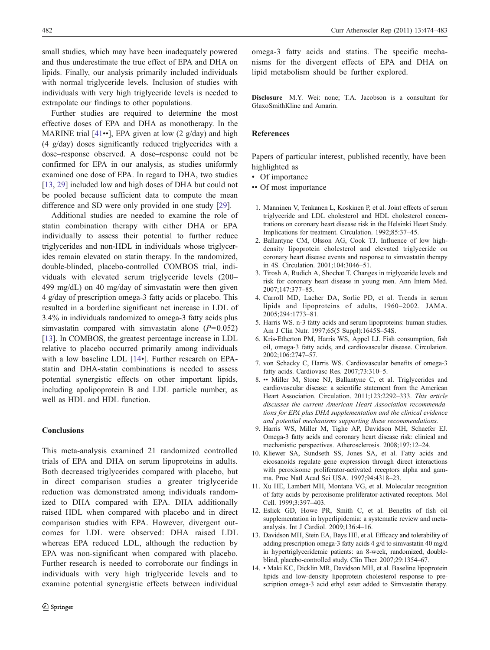<span id="page-8-0"></span>small studies, which may have been inadequately powered and thus underestimate the true effect of EPA and DHA on lipids. Finally, our analysis primarily included individuals with normal triglyceride levels. Inclusion of studies with individuals with very high triglyceride levels is needed to extrapolate our findings to other populations.

Further studies are required to determine the most effective doses of EPA and DHA as monotherapy. In the MARINE trial  $[41\bullet\bullet]$  $[41\bullet\bullet]$ , EPA given at low (2 g/day) and high (4 g/day) doses significantly reduced triglycerides with a dose–response observed. A dose–response could not be confirmed for EPA in our analysis, as studies uniformly examined one dose of EPA. In regard to DHA, two studies [13, [29](#page-9-0)] included low and high doses of DHA but could not be pooled because sufficient data to compute the mean difference and SD were only provided in one study [\[29](#page-9-0)].

Additional studies are needed to examine the role of statin combination therapy with either DHA or EPA individually to assess their potential to further reduce triglycerides and non-HDL in individuals whose triglycerides remain elevated on statin therapy. In the randomized, double-blinded, placebo-controlled COMBOS trial, individuals with elevated serum triglyceride levels (200– 499 mg/dL) on 40 mg/day of simvastatin were then given 4 g/day of prescription omega-3 fatty acids or placebo. This resulted in a borderline significant net increase in LDL of 3.4% in individuals randomized to omega-3 fatty acids plus simvastatin compared with simvastatin alone  $(P=0.052)$ [13]. In COMBOS, the greatest percentage increase in LDL relative to placebo occurred primarily among individuals with a low baseline LDL [14•]. Further research on EPAstatin and DHA-statin combinations is needed to assess potential synergistic effects on other important lipids, including apolipoprotein B and LDL particle number, as well as HDL and HDL function.

## **Conclusions**

This meta-analysis examined 21 randomized controlled trials of EPA and DHA on serum lipoproteins in adults. Both decreased triglycerides compared with placebo, but in direct comparison studies a greater triglyceride reduction was demonstrated among individuals randomized to DHA compared with EPA. DHA additionally raised HDL when compared with placebo and in direct comparison studies with EPA. However, divergent outcomes for LDL were observed: DHA raised LDL whereas EPA reduced LDL, although the reduction by EPA was non-significant when compared with placebo. Further research is needed to corroborate our findings in individuals with very high triglyceride levels and to examine potential synergistic effects between individual omega-3 fatty acids and statins. The specific mechanisms for the divergent effects of EPA and DHA on lipid metabolism should be further explored.

Disclosure M.Y. Wei: none; T.A. Jacobson is a consultant for GlaxoSmithKline and Amarin.

## References

Papers of particular interest, published recently, have been highlighted as

- Of importance
- •• Of most importance
- 1. Manninen V, Tenkanen L, Koskinen P, et al. Joint effects of serum triglyceride and LDL cholesterol and HDL cholesterol concentrations on coronary heart disease risk in the Helsinki Heart Study. Implications for treatment. Circulation. 1992;85:37–45.
- 2. Ballantyne CM, Olsson AG, Cook TJ. Influence of low highdensity lipoprotein cholesterol and elevated triglyceride on coronary heart disease events and response to simvastatin therapy in 4S. Circulation. 2001;104:3046–51.
- 3. Tirosh A, Rudich A, Shochat T. Changes in triglyceride levels and risk for coronary heart disease in young men. Ann Intern Med. 2007;147:377–85.
- 4. Carroll MD, Lacher DA, Sorlie PD, et al. Trends in serum lipids and lipoproteins of adults, 1960–2002. JAMA. 2005;294:1773–81.
- 5. Harris WS. n-3 fatty acids and serum lipoproteins: human studies. Am J Clin Nutr. 1997;65(5 Suppl):1645S–54S.
- 6. Kris-Etherton PM, Harris WS, Appel LJ. Fish consumption, fish oil, omega-3 fatty acids, and cardiovascular disease. Circulation. 2002;106:2747–57.
- 7. von Schacky C, Harris WS. Cardiovascular benefits of omega-3 fatty acids. Cardiovasc Res. 2007;73:310–5.
- 8. •• Miller M, Stone NJ, Ballantyne C, et al. Triglycerides and cardiovascular disease: a scientific statement from the American Heart Association. Circulation. 2011;123:2292–333. This article discusses the current American Heart Association recommendations for EPA plus DHA supplementation and the clinical evidence and potential mechanisms supporting these recommendations.
- 9. Harris WS, Miller M, Tighe AP, Davidson MH, Schaefer EJ. Omega-3 fatty acids and coronary heart disease risk: clinical and mechanistic perspectives. Atherosclerosis. 2008;197:12–24.
- 10. Kliewer SA, Sundseth SS, Jones SA, et al. Fatty acids and eicosanoids regulate gene expression through direct interactions with peroxisome proliferator-activated receptors alpha and gamma. Proc Natl Acad Sci USA. 1997;94:4318–23.
- 11. Xu HE, Lambert MH, Montana VG, et al. Molecular recognition of fatty acids by peroxisome proliferator-activated receptors. Mol Cell. 1999;3:397–403.
- 12. Eslick GD, Howe PR, Smith C, et al. Benefits of fish oil supplementation in hyperlipidemia: a systematic review and metaanalysis. Int J Cardiol. 2009;136:4–16.
- 13. Davidson MH, Stein EA, Bays HE, et al. Efficacy and tolerability of adding prescription omega-3 fatty acids 4 g/d to simvastatin 40 mg/d in hypertriglyceridemic patients: an 8-week, randomized, doubleblind, placebo-controlled study. Clin Ther. 2007;29:1354–67.
- 14. Maki KC, Dicklin MR, Davidson MH, et al. Baseline lipoprotein lipids and low-density lipoprotein cholesterol response to prescription omega-3 acid ethyl ester added to Simvastatin therapy.